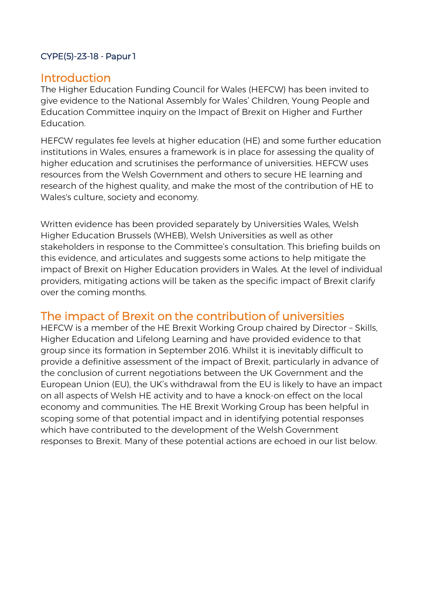### CYPE(5)-23-18 - Papur 1

## **Introduction**

The Higher Education Funding Council for Wales (HEFCW) has been invited to give evidence to the National Assembly for Wales' Children, Young People and Education Committee inquiry on the Impact of Brexit on Higher and Further Education.

HEFCW regulates fee levels at higher education (HE) and some further education institutions in Wales, ensures a framework is in place for assessing the quality of higher education and scrutinises the performance of universities. HEFCW uses resources from the Welsh Government and others to secure HE learning and research of the highest quality, and make the most of the contribution of HE to Wales's culture, society and economy.

Written evidence has been provided separately by Universities Wales, Welsh Higher Education Brussels (WHEB), Welsh Universities as well as other stakeholders in response to the Committee's consultation. This briefing builds on this evidence, and articulates and suggests some actions to help mitigate the impact of Brexit on Higher Education providers in Wales. At the level of individual providers, mitigating actions will be taken as the specific impact of Brexit clarify over the coming months.

# The impact of Brexit on the contribution of universities

HEFCW is a member of the HE Brexit Working Group chaired by Director – Skills, Higher Education and Lifelong Learning and have provided evidence to that group since its formation in September 2016. Whilst it is inevitably difficult to provide a definitive assessment of the impact of Brexit, particularly in advance of the conclusion of current negotiations between the UK Government and the European Union (EU), the UK's withdrawal from the EU is likely to have an impact on all aspects of Welsh HE activity and to have a knock-on effect on the local economy and communities. The HE Brexit Working Group has been helpful in scoping some of that potential impact and in identifying potential responses which have contributed to the development of the Welsh Government responses to Brexit. Many of these potential actions are echoed in our list below.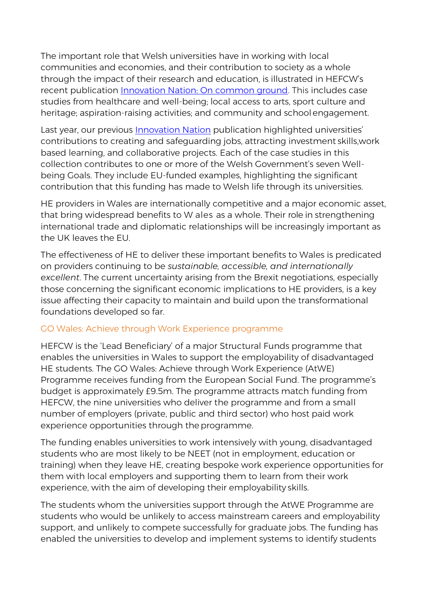The important role that Welsh universities have in working with local communities and economies, and their contribution to society as a whole through the impact of their research and education, is illustrated in HEFCW's recent publication [Innovation Nation: On common ground.](http://www.hefcw.ac.uk/publications/hefcw_reports_and_statistics/hefcw_reports_statistics.aspx) This includes case studies from healthcare and well-being; local access to arts, sport culture and heritage; aspiration-raising activities; and community and school engagement.

Last year, our previous [Innovation Nation](https://www.hefcw.ac.uk/documents/publications/hefcw_reports_and_statistics/HEFCW%20Innovation%20Nation%20English.pdf) publication highlighted universities' contributions to creating and safeguarding jobs, attracting investment skills,work based learning, and collaborative projects. Each of the case studies in this collection contributes to one or more of the Welsh Government's seven Wellbeing Goals. They include EU-funded examples, highlighting the significant contribution that this funding has made to Welsh life through its universities.

HE providers in Wales are internationally competitive and a major economic asset, that bring widespread benefits to W ales as a whole. Their role in strengthening international trade and diplomatic relationships will be increasingly important as the UK leaves the EU.

The effectiveness of HE to deliver these important benefits to Wales is predicated on providers continuing to be *sustainable, accessible, and internationally excellent*. The current uncertainty arising from the Brexit negotiations, especially those concerning the significant economic implications to HE providers, is a key issue affecting their capacity to maintain and build upon the transformational foundations developed so far.

#### GO Wales: Achieve through Work Experience programme

HEFCW is the 'Lead Beneficiary' of a major Structural Funds programme that enables the universities in Wales to support the employability of disadvantaged HE students. The GO Wales: Achieve through Work Experience (AtWE) Programme receives funding from the European Social Fund. The programme's budget is approximately £9.5m. The programme attracts match funding from HEFCW, the nine universities who deliver the programme and from a small number of employers (private, public and third sector) who host paid work experience opportunities through the programme.

The funding enables universities to work intensively with young, disadvantaged students who are most likely to be NEET (not in employment, education or training) when they leave HE, creating bespoke work experience opportunities for them with local employers and supporting them to learn from their work experience, with the aim of developing their employability skills.

The students whom the universities support through the AtWE Programme are students who would be unlikely to access mainstream careers and employability support, and unlikely to compete successfully for graduate jobs. The funding has enabled the universities to develop and implement systems to identify students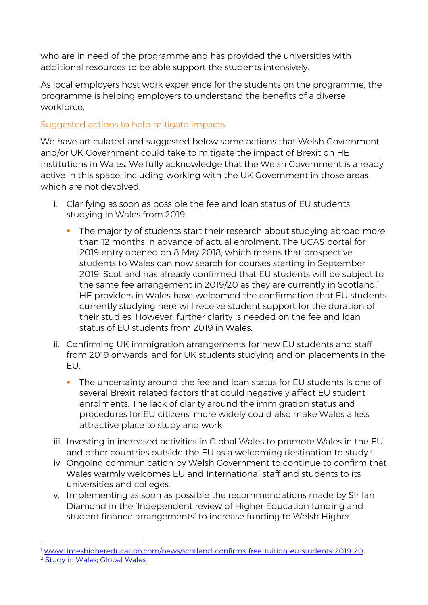who are in need of the programme and has provided the universities with additional resources to be able support the students intensively.

As local employers host work experience for the students on the programme, the programme is helping employers to understand the benefits of a diverse workforce.

## Suggested actions to help mitigate impacts

We have articulated and suggested below some actions that Welsh Government and/or UK Government could take to mitigate the impact of Brexit on HE institutions in Wales. We fully acknowledge that the Welsh Government is already active in this space, including working with the UK Government in those areas which are not devolved.

- i. Clarifying as soon as possible the fee and loan status of EU students studying in Wales from 2019.
	- **The majority of students start their research about studying abroad more** than 12 months in advance of actual enrolment. The UCAS portal for 2019 entry opened on 8 May 2018, which means that prospective students to Wales can now search for courses starting in September 2019. Scotland has already confirmed that EU students will be subject to the same fee arrangement in 2019/20 as they are currently in Scotland[.](#page-3-0)<sup>1</sup> HE providers in Wales have welcomed the confirmation that EU students currently studying here will receive student support for the duration of their studies. However, further clarity is needed on the fee and loan status of EU students from 2019 in Wales.
- ii. Confirming UK immigration arrangements for new EU students and staff from 2019 onwards, and for UK students studying and on placements in the EU.
	- The uncertainty around the fee and loan status for EU students is one of several Brexit-related factors that could negatively affect EU student enrolments. The lack of clarity around the immigration status and procedures for EU citizens' more widely could also make Wales a less attractive place to study and work.
- iii. Investing in increased activities in Global Wales to promote Wales in the EU and other countries outside the EU as a welcoming destination to study.<sup>2</sup>
- iv. Ongoing communication by Welsh Government to continue to confirm that Wales warmly welcomes EU and International staff and students to its universities and colleges.
- v. Implementing as soon as possible the recommendations made by Sir Ian Diamond in the 'Independent review of Higher Education funding and student finance arrangements' to increase funding to Welsh Higher

-

<sup>1</sup> [www.timeshighereducation.com/news/scotland-confirms-free-tuition-eu-students-2019-20](https://www.timeshighereducation.com/news/scotland-confirms-free-tuition-eu-students-2019-20)

<sup>2</sup> Study [in Wales; Global Wales](https://www.gov.uk/government/publications/framework-for-the-uk-eu-partnership-science-research-and-innovation?utm_source=UUKi%2BDirector%27s%2Bupdate%2Blist%2B-%2Bcurrent&utm_campaign=ed44ee88a4-EMAIL_CAMPAIGN_2018_04&utm_medium=email&utm_term=0_294e9c9d72-ed44ee88a4-100202461)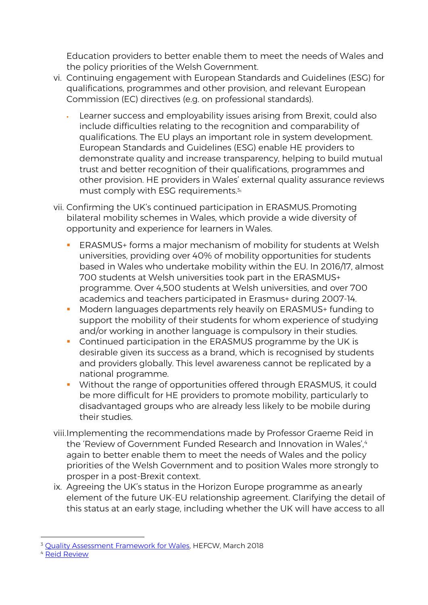<span id="page-3-0"></span>Education providers to better enable them to meet the needs of Wales and the policy priorities of the Welsh Government.

- vi. Continuing engagement with European Standards and Guidelines (ESG) for qualifications, programmes and other provision, and relevant European Commission (EC) directives (e.g. on professional standards).
	- Learner success and employability issues arising from Brexit, could also include difficulties relating to the recognition and comparability of qualifications. The EU plays an important role in system development. European Standards and Guidelines (ESG) enable HE providers to demonstrate quality and increase transparency, helping to build mutual trust and better recognition of their qualifications, programmes and other provision. HE providers in Wales' external quality assurance reviews must comply with ESG requirements[.](#page-3-1)<sup>33</sup>
- vii. Confirming the UK's continued participation in ERASMUS.Promoting bilateral mobility schemes in Wales, which provide a wide diversity of opportunity and experience for learners in Wales.
	- **ERASMUS+** forms a major mechanism of mobility for students at Welsh universities, providing over 40% of mobility opportunities for students based in Wales who undertake mobility within the EU. In 2016/17, almost 700 students at Welsh universities took part in the ERASMUS+ programme. Over 4,500 students at Welsh universities, and over 700 academics and teachers participated in Erasmus+ during 2007-14.
	- **Modern languages departments rely heavily on ERASMUS+ funding to** support the mobility of their students for whom experience of studying and/or working in another language is compulsory in their studies.
	- **Continued participation in the ERASMUS programme by the UK is** desirable given its success as a brand, which is recognised by students and providers globally. This level awareness cannot be replicated by a national programme.
	- **Without the range of opportunities offered through ERASMUS, it could** be more difficult for HE providers to promote mobility, particularly to disadvantaged groups who are already less likely to be mobile during their studies.
- viii.Implementing the recommendations made by Professor Graeme Reid in the 'Review of Government Funded Research and Innovation in Wales'.<sup>[4](#page-3-1)</sup> again to better enable them to meet the needs of Wales and the policy priorities of the Welsh Government and to position Wales more strongly to prosper in a post-Brexit context.
- <span id="page-3-1"></span>ix. Agreeing the UK's status in the Horizon Europe programme as anearly element of the future UK-EU relationship agreement. Clarifying the detail of this status at an early stage, including whether the UK will have access to all

<sup>-</sup><sup>3</sup> [Quality Assessment Framework for Wales, H](https://www.hefcw.ac.uk/documents/publications/circulars/circulars_2018/W18%2005HE%20Annex%20A.pdf)EFCW, March 2018

<sup>4</sup> [Reid Review](https://gov.wales/topics/science-and-technology/science/reid-review/?lang=en)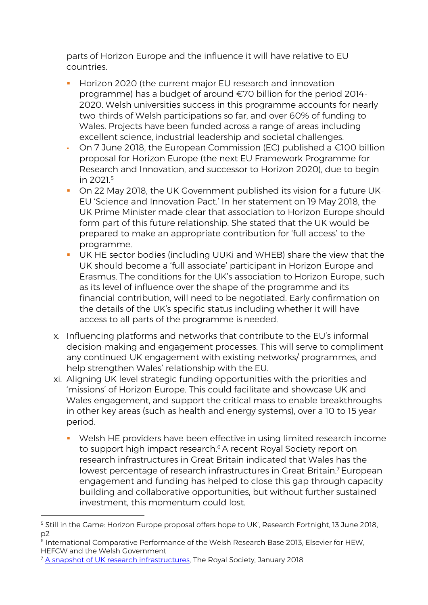parts of Horizon Europe and the influence it will have relative to EU countries.

- **Horizon 2020 (the current major EU research and innovation** programme) has a budget of around €70 billion for the period 2014- 2020. Welsh universities success in this programme accounts for nearly two-thirds of Welsh participations so far, and over 60% of funding to Wales. Projects have been funded across a range of areas including excellent science, industrial leadership and societal challenges.
- On 7 June 2018, the European Commission (EC) published a  $\epsilon$ 100 billion proposal for Horizon Europe (the next EU Framework Programme for Research and Innovation, and successor to Horizon 2020), due to begin in 2021.<sup>5</sup>
- On 22 May 2018, the UK Government published its vision for a future UK-EU 'Science and Innovation Pact.' In her statement on 19 May 2018, the UK Prime Minister made clear that association to Horizon Europe should form part of this future relationship. She stated that the UK would be prepared to make an appropriate contribution for 'full access' to the programme.
- UK HE sector bodies (including UUKi and WHEB) share the view that the UK should become a 'full associate' participant in Horizon Europe and Erasmus. The conditions for the UK's association to Horizon Europe, such as its level of influence over the shape of the programme and its financial contribution, will need to be negotiated. Early confirmation on the details of the UK's specific status including whether it will have access to all parts of the programme is needed.
- x. Influencing platforms and networks that contribute to the EU's informal decision-making and engagement processes. This will serve to compliment any continued UK engagement with existing networks/ programmes, and help strengthen Wales' relationship with the EU.
- xi. Aligning UK level strategic funding opportunities with the priorities and 'missions' of Horizon Europe. This could facilitate and showcase UK and Wales engagement, and support the critical mass to enable breakthroughs in other key areas (such as health and energy systems), over a 10 to 15 year period.
	- Welsh HE providers have been effective in using limited research income to support high impact research.<sup>6</sup> A recent Royal Society report on research infrastructures in Great Britain indicated that Wales has the lowest percentage of research infrastructures in Great Britain. <sup>7</sup> European engagement and funding has helped to close this gap through capacity building and collaborative opportunities, but without further sustained investment, this momentum could lost.

<sup>-</sup><sup>5</sup> Still in the Game: Horizon Europe proposal offers hope to UK', Research Fortnight, 13 June 2018, p2

<sup>6</sup> International Comparative Performance of the Welsh Research Base 2013, Elsevier for HEW, HEFCW and the Welsh Government

<sup>&</sup>lt;sup>7</sup> A snapshot of [UK research infrastructures, T](https://royalsociety.org/topics-policy/publications/2018/research-infrastructures-uk-snapshot/)he Royal Society, January 2018